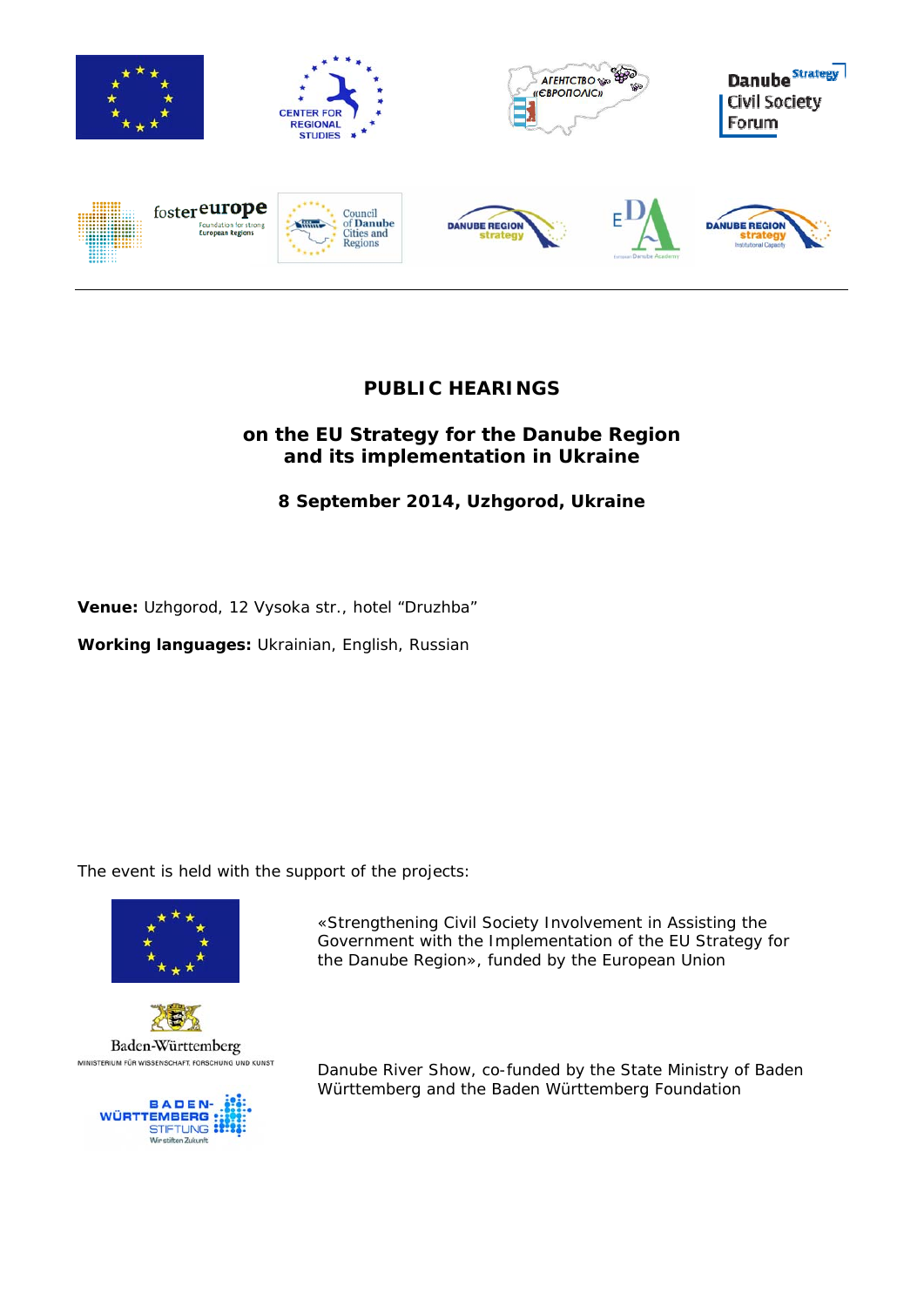

# **PUBLIC HEARINGS**

## **on the EU Strategy for the Danube Region and its implementation in Ukraine**

# **8 September 2014, Uzhgorod, Ukraine**

**Venue:** Uzhgorod, 12 Vysoka str., hotel "Druzhba"

**Working languages:** Ukrainian, English, Russian

The event is held with the support of the projects:







«Strengthening Civil Society Involvement in Assisting the Government with the Implementation of the EU Strategy for the Danube Region», funded by the European Union

Danube River Show, co-funded by the State Ministry of Baden Württemberg and the Baden Württemberg Foundation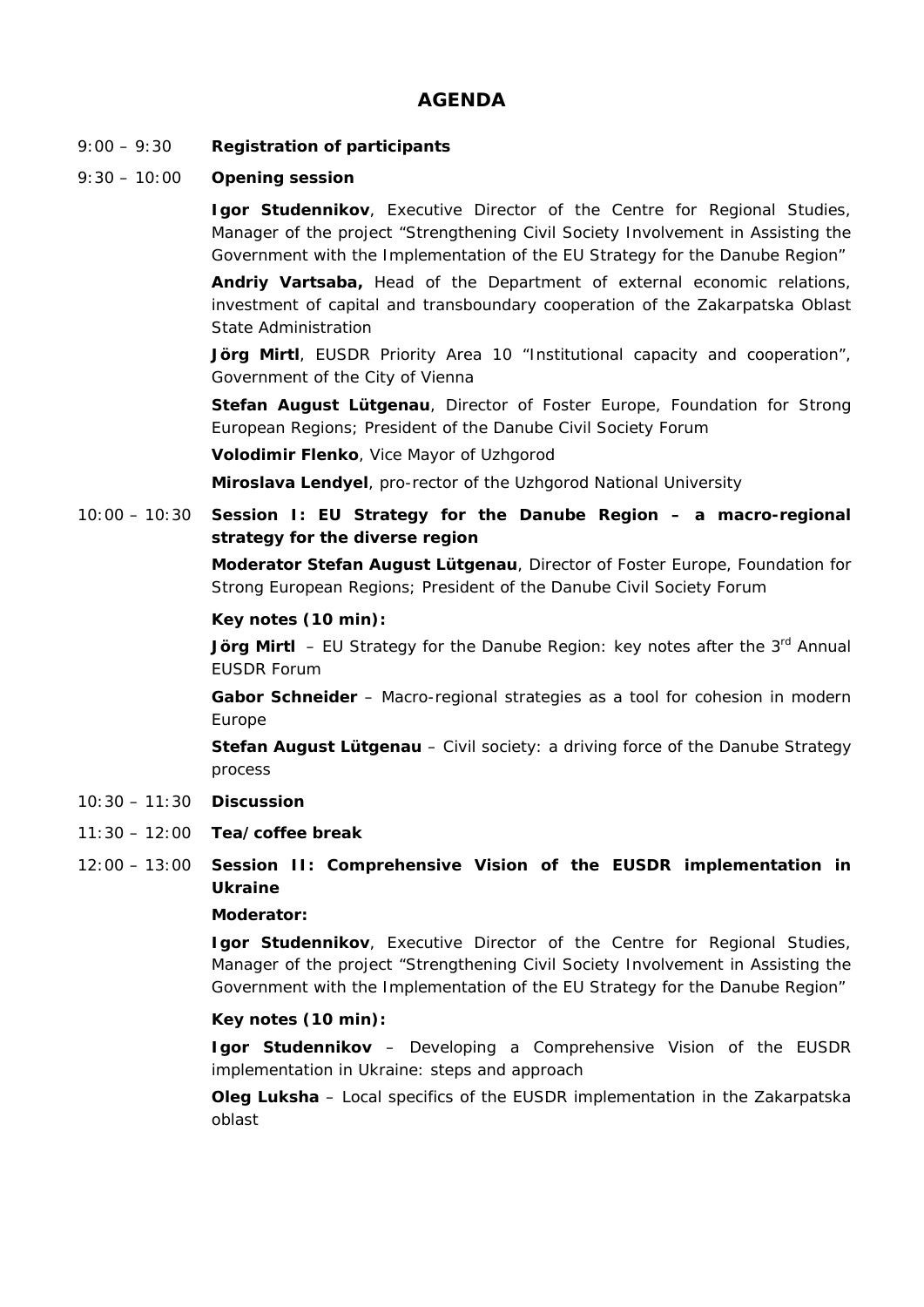## **AGENDA**

- 9:00 9:30 **Registration of participants**
- 9:30 10:00 **Opening session**

**Igor Studennikov**, Executive Director of the Centre for Regional Studies, Manager of the project "Strengthening Civil Society Involvement in Assisting the Government with the Implementation of the EU Strategy for the Danube Region"

**Andriy Vartsaba,** Head of the Department of external economic relations, investment of capital and transboundary cooperation of the Zakarpatska Oblast State Administration

**Jörg Mirtl**, EUSDR Priority Area 10 "Institutional capacity and cooperation", Government of the City of Vienna

**Stefan August Lütgenau**, Director of Foster Europe, Foundation for Strong European Regions; President of the Danube Civil Society Forum

**Volodimir Flenko**, Vice Mayor of Uzhgorod

**Miroslava Lendyel**, pro-rector of the Uzhgorod National University

10:00 – 10:30 **Session I: EU Strategy for the Danube Region – a macro-regional strategy for the diverse region** 

> **Moderator Stefan August Lütgenau**, Director of Foster Europe, Foundation for Strong European Regions; President of the Danube Civil Society Forum

### **Key notes (10 min):**

**Jörg Mirtl** – EU Strategy for the Danube Region: key notes after the 3<sup>rd</sup> Annual EUSDR Forum

**Gabor Schneider** – Macro-regional strategies as a tool for cohesion in modern Europe

**Stefan August Lütgenau** – Civil society: a driving force of the Danube Strategy process

- 10:30 11:30 **Discussion**
- 11:30 12:00 **Tea/coffee break**

### 12:00 – 13:00 **Session II: Comprehensive Vision of the EUSDR implementation in Ukraine**

### **Moderator:**

**Igor Studennikov**, Executive Director of the Centre for Regional Studies, Manager of the project "Strengthening Civil Society Involvement in Assisting the Government with the Implementation of the EU Strategy for the Danube Region"

### **Key notes (10 min):**

**Igor Studennikov** – Developing a Comprehensive Vision of the EUSDR implementation in Ukraine: steps and approach

**Oleg Luksha** – Local specifics of the EUSDR implementation in the Zakarpatska oblast